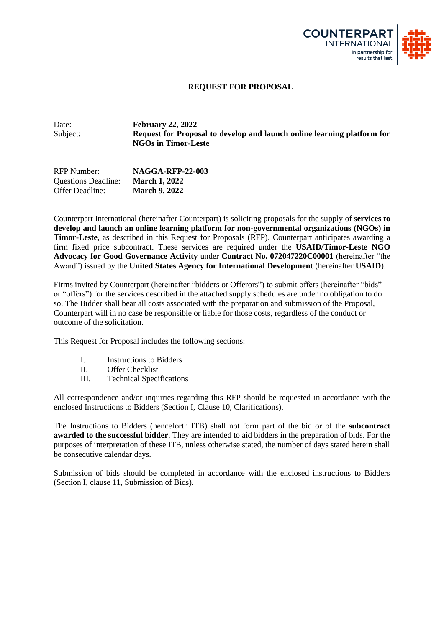

#### **REQUEST FOR PROPOSAL**

Date: **February 22, 2022** Subject: **Request for Proposal to develop and launch online learning platform for NGOs in Timor-Leste**

RFP Number: **NAGGA-RFP-22-003** Questions Deadline: **March 1, 2022** Offer Deadline: **March 9, 2022**

Counterpart International (hereinafter Counterpart) is soliciting proposals for the supply of **services to develop and launch an online learning platform for non-governmental organizations (NGOs) in Timor-Leste**, as described in this Request for Proposals (RFP). Counterpart anticipates awarding a firm fixed price subcontract. These services are required under the **USAID/Timor-Leste NGO Advocacy for Good Governance Activity** under **Contract No. 072047220C00001** (hereinafter "the Award") issued by the **United States Agency for International Development** (hereinafter **USAID**).

Firms invited by Counterpart (hereinafter "bidders or Offerors") to submit offers (hereinafter "bids" or "offers") for the services described in the attached supply schedules are under no obligation to do so. The Bidder shall bear all costs associated with the preparation and submission of the Proposal, Counterpart will in no case be responsible or liable for those costs, regardless of the conduct or outcome of the solicitation.

This Request for Proposal includes the following sections:

- I. Instructions to Bidders
- II. Offer Checklist
- III. Technical Specifications

All correspondence and/or inquiries regarding this RFP should be requested in accordance with the enclosed Instructions to Bidders (Section I, Clause 10, Clarifications).

The Instructions to Bidders (henceforth ITB) shall not form part of the bid or of the **subcontract awarded to the successful bidder**. They are intended to aid bidders in the preparation of bids. For the purposes of interpretation of these ITB, unless otherwise stated, the number of days stated herein shall be consecutive calendar days.

Submission of bids should be completed in accordance with the enclosed instructions to Bidders (Section I, clause 11, Submission of Bids).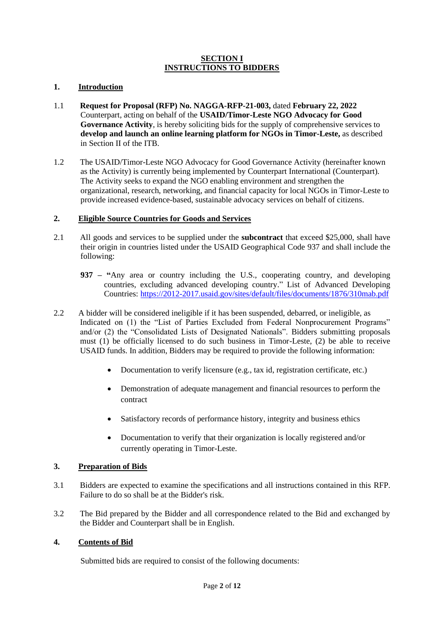### **SECTION I INSTRUCTIONS TO BIDDERS**

# **1. Introduction**

- 1.1 **Request for Proposal (RFP) No. NAGGA-RFP-21-003,** dated **February 22, 2022** Counterpart, acting on behalf of the **USAID/Timor-Leste NGO Advocacy for Good Governance Activity**, is hereby soliciting bids for the supply of comprehensive services to **develop and launch an online learning platform for NGOs in Timor-Leste,** as described in Section II of the ITB.
- 1.2 The USAID/Timor-Leste NGO Advocacy for Good Governance Activity (hereinafter known as the Activity) is currently being implemented by Counterpart International (Counterpart). The Activity seeks to expand the NGO enabling environment and strengthen the organizational, research, networking, and financial capacity for local NGOs in Timor-Leste to provide increased evidence-based, sustainable advocacy services on behalf of citizens.

### **2. Eligible Source Countries for Goods and Services**

- 2.1 All goods and services to be supplied under the **subcontract** that exceed \$25,000, shall have their origin in countries listed under the USAID Geographical Code 937 and shall include the following:
	- **937 – "**Any area or country including the U.S., cooperating country, and developing countries, excluding advanced developing country." List of Advanced Developing Countries:<https://2012-2017.usaid.gov/sites/default/files/documents/1876/310mab.pdf>
- 2.2 A bidder will be considered ineligible if it has been suspended, debarred, or ineligible, as Indicated on (1) the "List of Parties Excluded from Federal Nonprocurement Programs" and/or (2) the "Consolidated Lists of Designated Nationals". Bidders submitting proposals must (1) be officially licensed to do such business in Timor-Leste, (2) be able to receive USAID funds. In addition, Bidders may be required to provide the following information:
	- Documentation to verify licensure (e.g., tax id, registration certificate, etc.)
	- Demonstration of adequate management and financial resources to perform the contract
	- Satisfactory records of performance history, integrity and business ethics
	- Documentation to verify that their organization is locally registered and/or currently operating in Timor-Leste.

# **3. Preparation of Bids**

- 3.1 Bidders are expected to examine the specifications and all instructions contained in this RFP. Failure to do so shall be at the Bidder's risk.
- 3.2 The Bid prepared by the Bidder and all correspondence related to the Bid and exchanged by the Bidder and Counterpart shall be in English.

# **4. Contents of Bid**

Submitted bids are required to consist of the following documents: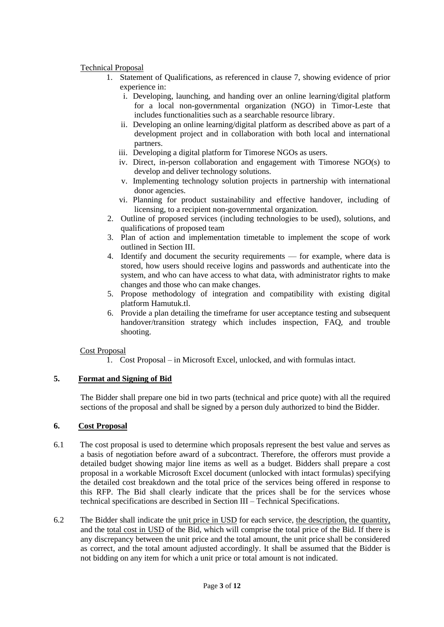# Technical Proposal

- 1. Statement of Qualifications, as referenced in clause 7, showing evidence of prior experience in:
	- i. Developing, launching, and handing over an online learning/digital platform for a local non-governmental organization (NGO) in Timor-Leste that includes functionalities such as a searchable resource library.
	- ii. Developing an online learning/digital platform as described above as part of a development project and in collaboration with both local and international partners.
	- iii. Developing a digital platform for Timorese NGOs as users.
	- iv. Direct, in-person collaboration and engagement with Timorese NGO(s) to develop and deliver technology solutions.
	- v. Implementing technology solution projects in partnership with international donor agencies.
	- vi. Planning for product sustainability and effective handover, including of licensing, to a recipient non-governmental organization.
- 2. Outline of proposed services (including technologies to be used), solutions, and qualifications of proposed team
- 3. Plan of action and implementation timetable to implement the scope of work outlined in Section III.
- 4. Identify and document the security requirements for example, where data is stored, how users should receive logins and passwords and authenticate into the system, and who can have access to what data, with administrator rights to make changes and those who can make changes.
- 5. Propose methodology of integration and compatibility with existing digital platform Hamutuk.tl.
- 6. Provide a plan detailing the timeframe for user acceptance testing and subsequent handover/transition strategy which includes inspection, FAQ, and trouble shooting.

# Cost Proposal

1. Cost Proposal – in Microsoft Excel, unlocked, and with formulas intact.

# **5. Format and Signing of Bid**

The Bidder shall prepare one bid in two parts (technical and price quote) with all the required sections of the proposal and shall be signed by a person duly authorized to bind the Bidder.

# **6. Cost Proposal**

- 6.1 The cost proposal is used to determine which proposals represent the best value and serves as a basis of negotiation before award of a subcontract. Therefore, the offerors must provide a detailed budget showing major line items as well as a budget. Bidders shall prepare a cost proposal in a workable Microsoft Excel document (unlocked with intact formulas) specifying the detailed cost breakdown and the total price of the services being offered in response to this RFP. The Bid shall clearly indicate that the prices shall be for the services whose technical specifications are described in Section III – Technical Specifications.
- 6.2 The Bidder shall indicate the unit price in USD for each service, the description, the quantity, and the total cost in USD of the Bid, which will comprise the total price of the Bid. If there is any discrepancy between the unit price and the total amount, the unit price shall be considered as correct, and the total amount adjusted accordingly. It shall be assumed that the Bidder is not bidding on any item for which a unit price or total amount is not indicated.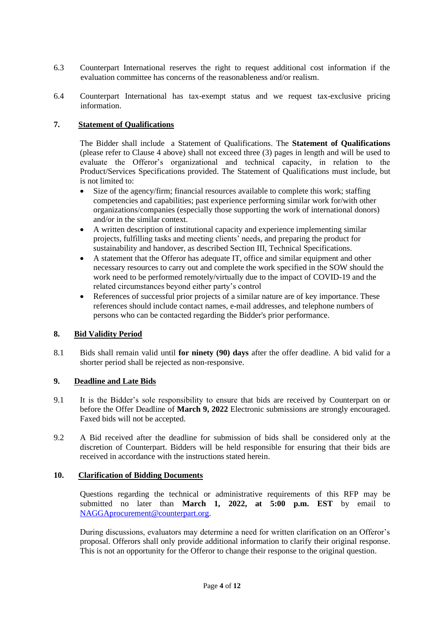- 6.3 Counterpart International reserves the right to request additional cost information if the evaluation committee has concerns of the reasonableness and/or realism.
- 6.4 Counterpart International has tax-exempt status and we request tax-exclusive pricing information.

### **7. Statement of Qualifications**

The Bidder shall include a Statement of Qualifications. The **Statement of Qualifications** (please refer to Clause 4 above) shall not exceed three (3) pages in length and will be used to evaluate the Offeror's organizational and technical capacity, in relation to the Product/Services Specifications provided. The Statement of Qualifications must include, but is not limited to:

- Size of the agency/firm; financial resources available to complete this work; staffing competencies and capabilities; past experience performing similar work for/with other organizations/companies (especially those supporting the work of international donors) and/or in the similar context.
- A written description of institutional capacity and experience implementing similar projects, fulfilling tasks and meeting clients' needs, and preparing the product for sustainability and handover, as described Section III, Technical Specifications.
- A statement that the Offeror has adequate IT, office and similar equipment and other necessary resources to carry out and complete the work specified in the SOW should the work need to be performed remotely/virtually due to the impact of COVID-19 and the related circumstances beyond either party's control
- References of successful prior projects of a similar nature are of key importance. These references should include contact names, e-mail addresses, and telephone numbers of persons who can be contacted regarding the Bidder's prior performance.

#### **8. Bid Validity Period**

8.1 Bids shall remain valid until **for ninety (90) days** after the offer deadline. A bid valid for a shorter period shall be rejected as non-responsive.

#### **9. Deadline and Late Bids**

- 9.1 It is the Bidder's sole responsibility to ensure that bids are received by Counterpart on or before the Offer Deadline of **March 9, 2022** Electronic submissions are strongly encouraged. Faxed bids will not be accepted.
- 9.2 A Bid received after the deadline for submission of bids shall be considered only at the discretion of Counterpart. Bidders will be held responsible for ensuring that their bids are received in accordance with the instructions stated herein.

#### **10. Clarification of Bidding Documents**

Questions regarding the technical or administrative requirements of this RFP may be submitted no later than **March 1, 2022, at 5:00 p.m. EST** by email to [NAGGAprocurement@counterpart.org.](mailto:NAGGAprocurement@counterpart.org)

During discussions, evaluators may determine a need for written clarification on an Offeror's proposal. Offerors shall only provide additional information to clarify their original response. This is not an opportunity for the Offeror to change their response to the original question.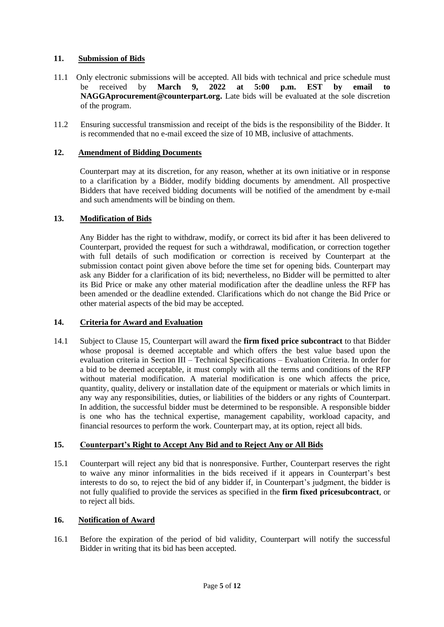# **11. Submission of Bids**

- 11.1 Only electronic submissions will be accepted. All bids with technical and price schedule must be received by **March 9, 2022 at 5:00 p.m. EST by email to NAGGAprocurement@counterpart.org.** Late bids will be evaluated at the sole discretion of the program.
- 11.2 Ensuring successful transmission and receipt of the bids is the responsibility of the Bidder. It is recommended that no e-mail exceed the size of 10 MB, inclusive of attachments.

# **12. Amendment of Bidding Documents**

Counterpart may at its discretion, for any reason, whether at its own initiative or in response to a clarification by a Bidder, modify bidding documents by amendment. All prospective Bidders that have received bidding documents will be notified of the amendment by e-mail and such amendments will be binding on them.

# **13. Modification of Bids**

Any Bidder has the right to withdraw, modify, or correct its bid after it has been delivered to Counterpart, provided the request for such a withdrawal, modification, or correction together with full details of such modification or correction is received by Counterpart at the submission contact point given above before the time set for opening bids. Counterpart may ask any Bidder for a clarification of its bid; nevertheless, no Bidder will be permitted to alter its Bid Price or make any other material modification after the deadline unless the RFP has been amended or the deadline extended. Clarifications which do not change the Bid Price or other material aspects of the bid may be accepted.

# **14. Criteria for Award and Evaluation**

14.1 Subject to Clause 15, Counterpart will award the **firm fixed price subcontract** to that Bidder whose proposal is deemed acceptable and which offers the best value based upon the evaluation criteria in Section III – Technical Specifications – Evaluation Criteria. In order for a bid to be deemed acceptable, it must comply with all the terms and conditions of the RFP without material modification. A material modification is one which affects the price, quantity, quality, delivery or installation date of the equipment or materials or which limits in any way any responsibilities, duties, or liabilities of the bidders or any rights of Counterpart. In addition, the successful bidder must be determined to be responsible. A responsible bidder is one who has the technical expertise, management capability, workload capacity, and financial resources to perform the work. Counterpart may, at its option, reject all bids.

#### **15. Counterpart's Right to Accept Any Bid and to Reject Any or All Bids**

15.1 Counterpart will reject any bid that is nonresponsive. Further, Counterpart reserves the right to waive any minor informalities in the bids received if it appears in Counterpart's best interests to do so, to reject the bid of any bidder if, in Counterpart's judgment, the bidder is not fully qualified to provide the services as specified in the **firm fixed pricesubcontract**, or to reject all bids.

# **16. Notification of Award**

16.1 Before the expiration of the period of bid validity, Counterpart will notify the successful Bidder in writing that its bid has been accepted.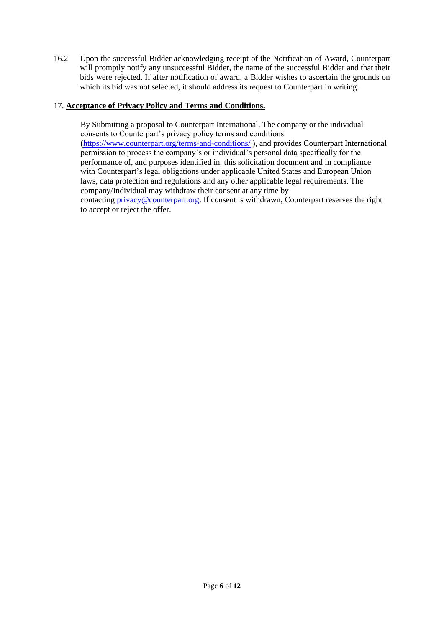16.2 Upon the successful Bidder acknowledging receipt of the Notification of Award, Counterpart will promptly notify any unsuccessful Bidder, the name of the successful Bidder and that their bids were rejected. If after notification of award, a Bidder wishes to ascertain the grounds on which its bid was not selected, it should address its request to Counterpart in writing.

# 17. **Acceptance of Privacy Policy and Terms and Conditions.**

By Submitting a proposal to Counterpart International, The company or the individual consents to Counterpart's privacy policy terms and conditions [\(https://www.counterpart.org/terms-and-conditions/](https://www.counterpart.org/terms-and-conditions/) ), and provides Counterpart International permission to process the company's or individual's personal data specifically for the performance of, and purposes identified in, this solicitation document and in compliance with Counterpart's legal obligations under applicable United States and European Union laws, data protection and regulations and any other applicable legal requirements. The company/Individual may withdraw their consent at any time by contacting [privacy@counterpart.org.](mailto:privacy@counterpart.org) If consent is withdrawn, Counterpart reserves the right to accept or reject the offer.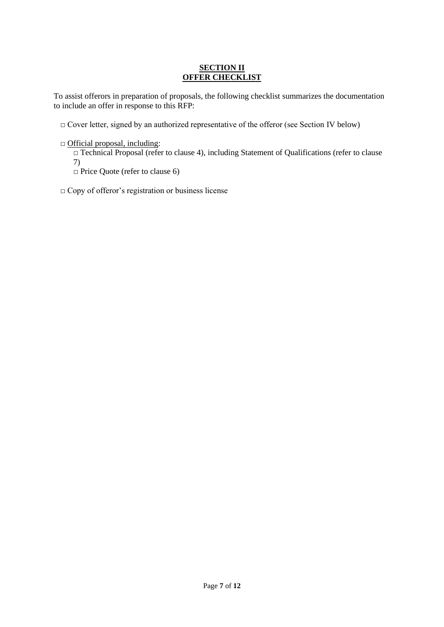# **SECTION II OFFER CHECKLIST**

To assist offerors in preparation of proposals, the following checklist summarizes the documentation to include an offer in response to this RFP:

□ Cover letter, signed by an authorized representative of the offeror (see Section IV below)

□ Official proposal, including:

□ Technical Proposal (refer to clause 4), including Statement of Qualifications (refer to clause 7)

□ Price Quote (refer to clause 6)

□ Copy of offeror's registration or business license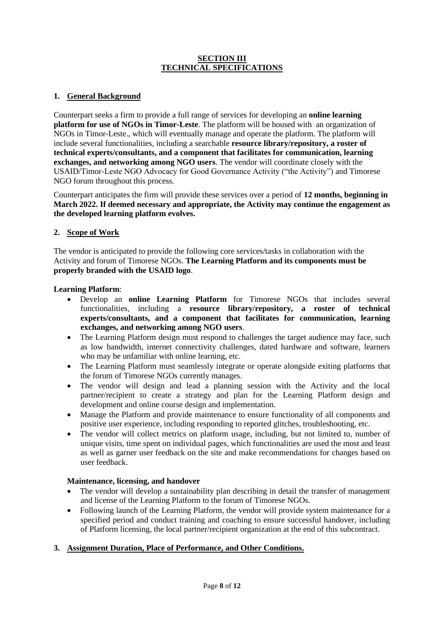## **SECTION III TECHNICAL SPECIFICATIONS**

# **1. General Background**

Counterpart seeks a firm to provide a full range of services for developing an **online learning platform for use of NGOs in Timor-Leste**. The platform will be housed with an organization of NGOs in Timor-Leste., which will eventually manage and operate the platform. The platform will include several functionalities, including a searchable **resource library/repository, a roster of technical experts/consultants, and a component that facilitates for communication, learning exchanges, and networking among NGO users**. The vendor will coordinate closely with the USAID/Timor-Leste NGO Advocacy for Good Governance Activity ("the Activity") and Timorese NGO forum throughout this process.

Counterpart anticipates the firm will provide these services over a period of **12 months, beginning in March 2022. If deemed necessary and appropriate, the Activity may continue the engagement as the developed learning platform evolves.** 

### **2. Scope of Work**

The vendor is anticipated to provide the following core services/tasks in collaboration with the Activity and forum of Timorese NGOs. **The Learning Platform and its components must be properly branded with the USAID logo**.

#### **Learning Platform**:

- Develop an **online Learning Platform** for Timorese NGOs that includes several functionalities, including a **resource library/repository, a roster of technical experts/consultants, and a component that facilitates for communication, learning exchanges, and networking among NGO users**.
- The Learning Platform design must respond to challenges the target audience may face, such as low bandwidth, internet connectivity challenges, dated hardware and software, learners who may be unfamiliar with online learning, etc.
- The Learning Platform must seamlessly integrate or operate alongside exiting platforms that the forum of Timorese NGOs currently manages.
- The vendor will design and lead a planning session with the Activity and the local partner/recipient to create a strategy and plan for the Learning Platform design and development and online course design and implementation.
- Manage the Platform and provide maintenance to ensure functionality of all components and positive user experience, including responding to reported glitches, troubleshooting, etc.
- The vendor will collect metrics on platform usage, including, but not limited to, number of unique visits, time spent on individual pages, which functionalities are used the most and least as well as garner user feedback on the site and make recommendations for changes based on user feedback.

#### **Maintenance, licensing, and handover**

- The vendor will develop a sustainability plan describing in detail the transfer of management and license of the Learning Platform to the forum of Timorese NGOs.
- Following launch of the Learning Platform, the vendor will provide system maintenance for a specified period and conduct training and coaching to ensure successful handover, including of Platform licensing, the local partner/recipient organization at the end of this subcontract.

#### **3. Assignment Duration, Place of Performance, and Other Conditions.**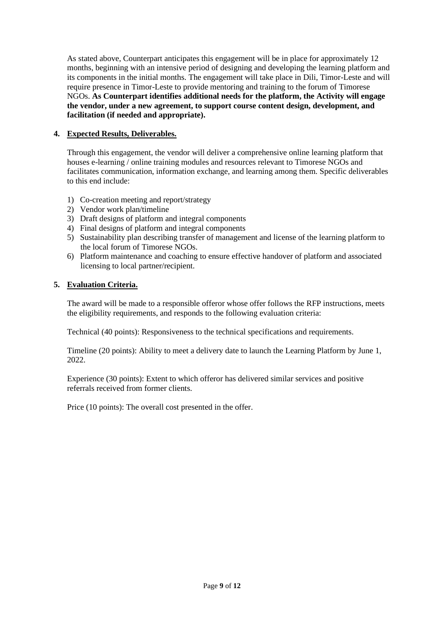As stated above, Counterpart anticipates this engagement will be in place for approximately 12 months, beginning with an intensive period of designing and developing the learning platform and its components in the initial months. The engagement will take place in Dili, Timor-Leste and will require presence in Timor-Leste to provide mentoring and training to the forum of Timorese NGOs. **As Counterpart identifies additional needs for the platform, the Activity will engage the vendor, under a new agreement, to support course content design, development, and facilitation (if needed and appropriate).**

# **4. Expected Results, Deliverables.**

Through this engagement, the vendor will deliver a comprehensive online learning platform that houses e-learning / online training modules and resources relevant to Timorese NGOs and facilitates communication, information exchange, and learning among them. Specific deliverables to this end include:

- 1) Co-creation meeting and report/strategy
- 2) Vendor work plan/timeline
- 3) Draft designs of platform and integral components
- 4) Final designs of platform and integral components
- 5) Sustainability plan describing transfer of management and license of the learning platform to the local forum of Timorese NGOs.
- 6) Platform maintenance and coaching to ensure effective handover of platform and associated licensing to local partner/recipient.

# **5. Evaluation Criteria.**

The award will be made to a responsible offeror whose offer follows the RFP instructions, meets the eligibility requirements, and responds to the following evaluation criteria:

Technical (40 points): Responsiveness to the technical specifications and requirements.

Timeline (20 points): Ability to meet a delivery date to launch the Learning Platform by June 1, 2022.

Experience (30 points): Extent to which offeror has delivered similar services and positive referrals received from former clients.

Price (10 points): The overall cost presented in the offer.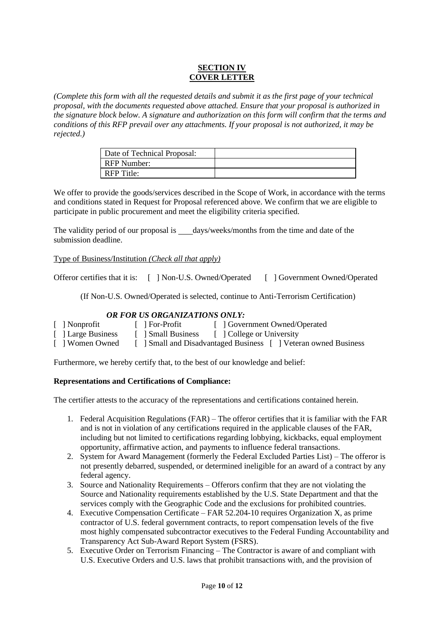# **SECTION IV COVER LETTER**

*(Complete this form with all the requested details and submit it as the first page of your technical proposal, with the documents requested above attached. Ensure that your proposal is authorized in the signature block below. A signature and authorization on this form will confirm that the terms and conditions of this RFP prevail over any attachments. If your proposal is not authorized, it may be rejected.)* 

| Date of Technical Proposal: |  |
|-----------------------------|--|
| RFP Number:                 |  |
| RFP Title:                  |  |

We offer to provide the goods/services described in the Scope of Work, in accordance with the terms and conditions stated in Request for Proposal referenced above. We confirm that we are eligible to participate in public procurement and meet the eligibility criteria specified.

The validity period of our proposal is days/weeks/months from the time and date of the submission deadline.

### Type of Business/Institution *(Check all that apply)*

Offeror certifies that it is: [ ] Non-U.S. Owned/Operated [ ] Government Owned/Operated

(If Non-U.S. Owned/Operated is selected, continue to Anti-Terrorism Certification)

# *OR FOR US ORGANIZATIONS ONLY:*

| [ ] Nonprofit      | $\lceil$ For-Profit | [ ] Government Owned/Operated                                   |
|--------------------|---------------------|-----------------------------------------------------------------|
| [ ] Large Business | [ 1 Small Business  | [ College or University                                         |
| [ 1 Women Owned    |                     | [ ] Small and Disadvantaged Business [ ] Veteran owned Business |

Furthermore, we hereby certify that, to the best of our knowledge and belief:

#### **Representations and Certifications of Compliance:**

The certifier attests to the accuracy of the representations and certifications contained herein.

- 1. Federal Acquisition Regulations (FAR) The offeror certifies that it is familiar with the FAR and is not in violation of any certifications required in the applicable clauses of the FAR, including but not limited to certifications regarding lobbying, kickbacks, equal employment opportunity, affirmative action, and payments to influence federal transactions.
- 2. System for Award Management (formerly the Federal Excluded Parties List) The offeror is not presently debarred, suspended, or determined ineligible for an award of a contract by any federal agency.
- 3. Source and Nationality Requirements Offerors confirm that they are not violating the Source and Nationality requirements established by the U.S. State Department and that the services comply with the Geographic Code and the exclusions for prohibited countries.
- 4. Executive Compensation Certificate FAR 52.204-10 requires Organization X, as prime contractor of U.S. federal government contracts, to report compensation levels of the five most highly compensated subcontractor executives to the Federal Funding Accountability and Transparency Act Sub-Award Report System (FSRS).
- 5. Executive Order on Terrorism Financing The Contractor is aware of and compliant with U.S. Executive Orders and U.S. laws that prohibit transactions with, and the provision of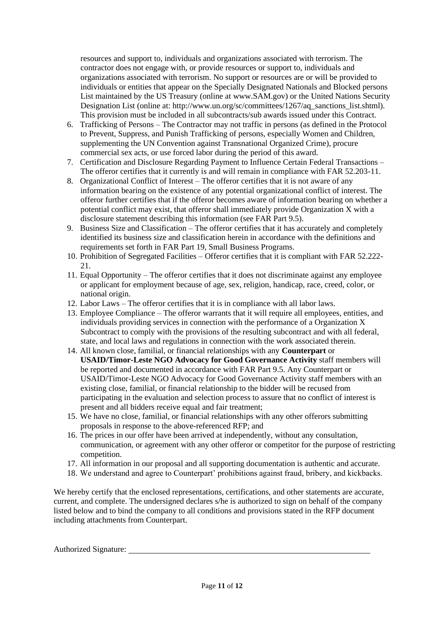resources and support to, individuals and organizations associated with terrorism. The contractor does not engage with, or provide resources or support to, individuals and organizations associated with terrorism. No support or resources are or will be provided to individuals or entities that appear on the Specially Designated Nationals and Blocked persons List maintained by the US Treasury (online at [www.SAM.gov\)](http://www.sam.gov/) or the United Nations Security Designation List (online at: http://www.un.org/sc/committees/1267/aq\_sanctions\_list.shtml). This provision must be included in all subcontracts/sub awards issued under this Contract.

- 6. Trafficking of Persons The Contractor may not traffic in persons (as defined in the Protocol to Prevent, Suppress, and Punish Trafficking of persons, especially Women and Children, supplementing the UN Convention against Transnational Organized Crime), procure commercial sex acts, or use forced labor during the period of this award.
- 7. Certification and Disclosure Regarding Payment to Influence Certain Federal Transactions The offeror certifies that it currently is and will remain in compliance with FAR 52.203-11.
- 8. Organizational Conflict of Interest The offeror certifies that it is not aware of any information bearing on the existence of any potential organizational conflict of interest. The offeror further certifies that if the offeror becomes aware of information bearing on whether a potential conflict may exist, that offeror shall immediately provide Organization X with a disclosure statement describing this information (see FAR Part 9.5).
- 9. Business Size and Classification The offeror certifies that it has accurately and completely identified its business size and classification herein in accordance with the definitions and requirements set forth in FAR Part 19, Small Business Programs.
- 10. Prohibition of Segregated Facilities Offeror certifies that it is compliant with FAR 52.222- 21.
- 11. Equal Opportunity The offeror certifies that it does not discriminate against any employee or applicant for employment because of age, sex, religion, handicap, race, creed, color, or national origin.
- 12. Labor Laws The offeror certifies that it is in compliance with all labor laws.
- 13. Employee Compliance The offeror warrants that it will require all employees, entities, and individuals providing services in connection with the performance of a Organization X Subcontract to comply with the provisions of the resulting subcontract and with all federal, state, and local laws and regulations in connection with the work associated therein.
- 14. All known close, familial, or financial relationships with any **Counterpart** or **USAID/Timor-Leste NGO Advocacy for Good Governance Activity** staff members will be reported and documented in accordance with FAR Part 9.5. Any Counterpart or USAID/Timor-Leste NGO Advocacy for Good Governance Activity staff members with an existing close, familial, or financial relationship to the bidder will be recused from participating in the evaluation and selection process to assure that no conflict of interest is present and all bidders receive equal and fair treatment;
- 15. We have no close, familial, or financial relationships with any other offerors submitting proposals in response to the above-referenced RFP; and
- 16. The prices in our offer have been arrived at independently, without any consultation, communication, or agreement with any other offeror or competitor for the purpose of restricting competition.
- 17. All information in our proposal and all supporting documentation is authentic and accurate.
- 18. We understand and agree to Counterpart' prohibitions against fraud, bribery, and kickbacks.

We hereby certify that the enclosed representations, certifications, and other statements are accurate, current, and complete. The undersigned declares s/he is authorized to sign on behalf of the company listed below and to bind the company to all conditions and provisions stated in the RFP document including attachments from Counterpart.

Authorized Signature: